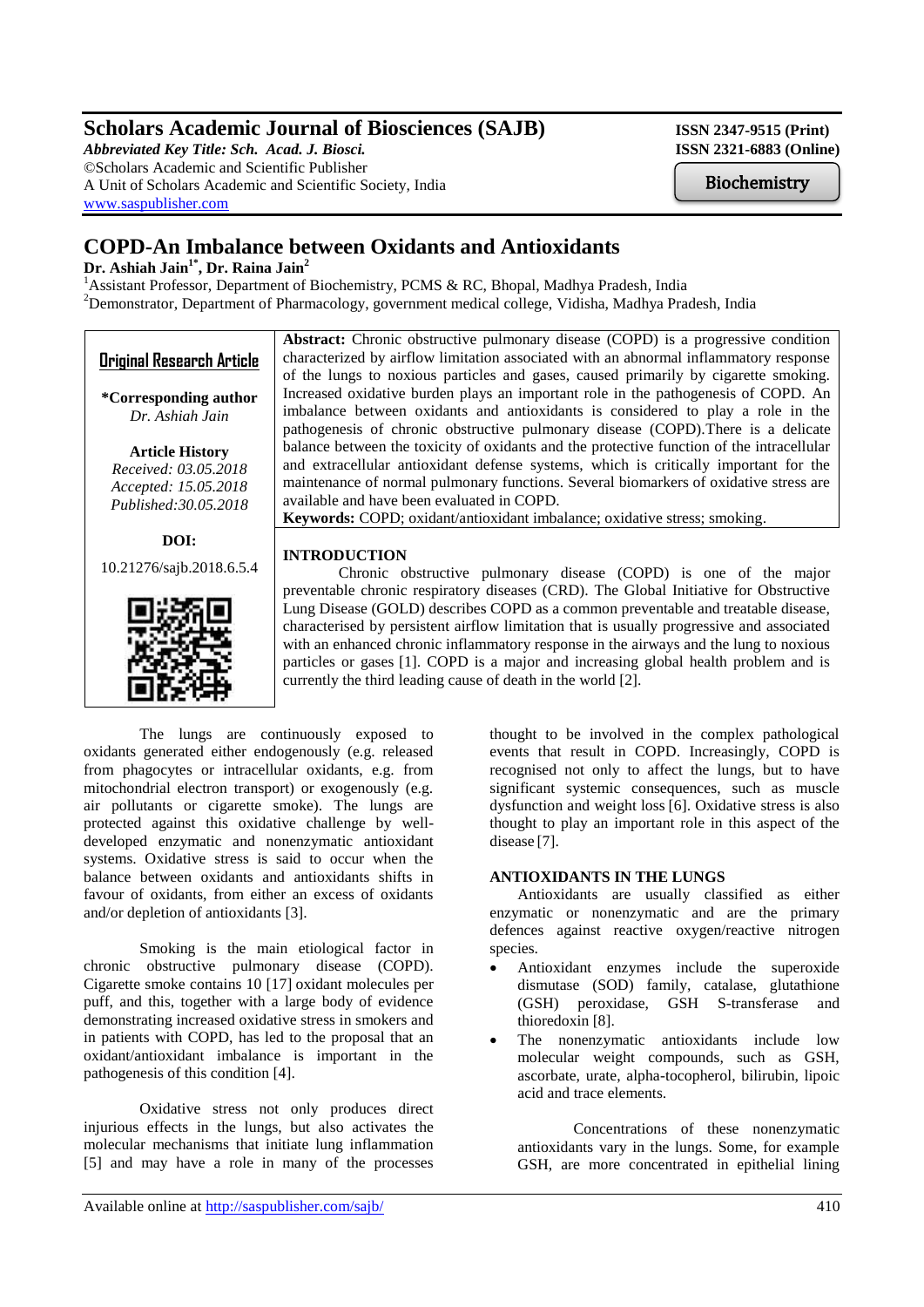# **Scholars Academic Journal of Biosciences (SAJB)** ISSN 2347-9515 (Print)

*Abbreviated Key Title: Sch. Acad. J. Biosci.* **ISSN 2321-6883 (Online)** ©Scholars Academic and Scientific Publisher A Unit of Scholars Academic and Scientific Society, India [www.saspublisher.com](http://www.saspublisher.com/)

Biochemistry

# **COPD-An Imbalance between Oxidants and Antioxidants**

# **Dr. Ashiah Jain1\* , Dr. Raina Jain<sup>2</sup>**

<sup>1</sup>Assistant Professor, Department of Biochemistry, PCMS & RC, Bhopal, Madhya Pradesh, India <sup>2</sup>Demonstrator, Department of Pharmacology, government medical college, Vidisha, Madhya Pradesh, India

| <b>Original Research Article</b>                                                                | <b>Abstract:</b> Chronic obstructive pulmonary disease (COPD) is a progressive condition<br>characterized by airflow limitation associated with an abnormal inflammatory response<br>of the lungs to noxious particles and gases, caused primarily by cigarette smoking.                                                                                                                                                                                                                                                |
|-------------------------------------------------------------------------------------------------|-------------------------------------------------------------------------------------------------------------------------------------------------------------------------------------------------------------------------------------------------------------------------------------------------------------------------------------------------------------------------------------------------------------------------------------------------------------------------------------------------------------------------|
| *Corresponding author<br>Dr. Ashiah Jain                                                        | Increased oxidative burden plays an important role in the pathogenesis of COPD. An<br>imbalance between oxidants and antioxidants is considered to play a role in the<br>pathogenesis of chronic obstructive pulmonary disease (COPD). There is a delicate                                                                                                                                                                                                                                                              |
| <b>Article History</b><br>Received: 03.05.2018<br>Accepted: 15.05.2018<br>Published: 30.05.2018 | balance between the toxicity of oxidants and the protective function of the intracellular<br>and extracellular antioxidant defense systems, which is critically important for the<br>maintenance of normal pulmonary functions. Several biomarkers of oxidative stress are<br>available and have been evaluated in COPD.<br>Keywords: COPD; oxidant/antioxidant imbalance; oxidative stress; smoking.                                                                                                                   |
| DOI:                                                                                            | <b>INTRODUCTION</b>                                                                                                                                                                                                                                                                                                                                                                                                                                                                                                     |
| 10.21276/sajb.2018.6.5.4                                                                        | Chronic obstructive pulmonary disease (COPD) is one of the major                                                                                                                                                                                                                                                                                                                                                                                                                                                        |
|                                                                                                 | preventable chronic respiratory diseases (CRD). The Global Initiative for Obstructive<br>Lung Disease (GOLD) describes COPD as a common preventable and treatable disease,<br>characterised by persistent airflow limitation that is usually progressive and associated<br>with an enhanced chronic inflammatory response in the airways and the lung to noxious<br>particles or gases [1]. COPD is a major and increasing global health problem and is<br>currently the third leading cause of death in the world [2]. |

The lungs are continuously exposed to oxidants generated either endogenously (e.g. released from phagocytes or intracellular oxidants, e.g. from mitochondrial electron transport) or exogenously (e.g. air pollutants or cigarette smoke). The lungs are protected against this oxidative challenge by welldeveloped enzymatic and nonenzymatic antioxidant systems. Oxidative stress is said to occur when the balance between oxidants and antioxidants shifts in favour of oxidants, from either an excess of oxidants and/or depletion of antioxidants [3].

Smoking is the main etiological factor in chronic obstructive pulmonary disease (COPD). Cigarette smoke contains 10 [17] oxidant molecules per puff, and this, together with a large body of evidence demonstrating increased oxidative stress in smokers and in patients with COPD, has led to the proposal that an oxidant/antioxidant imbalance is important in the pathogenesis of this condition [4].

Oxidative stress not only produces direct injurious effects in the lungs, but also activates the molecular mechanisms that initiate lung inflammation [5] and may have a role in many of the processes

thought to be involved in the complex pathological events that result in COPD. Increasingly, COPD is recognised not only to affect the lungs, but to have significant systemic consequences, such as muscle dysfunction and weight loss [6]. Oxidative stress is also thought to play an important role in this aspect of the disease [7].

# **ANTIOXIDANTS IN THE LUNGS**

Antioxidants are usually classified as either enzymatic or nonenzymatic and are the primary defences against reactive oxygen/reactive nitrogen species.

- Antioxidant enzymes include the superoxide dismutase (SOD) family, catalase, glutathione (GSH) peroxidase, GSH S-transferase and thioredoxin [8].
- The nonenzymatic antioxidants include low molecular weight compounds, such as GSH, ascorbate, urate, alpha-tocopherol, bilirubin, lipoic acid and trace elements.

Concentrations of these nonenzymatic antioxidants vary in the lungs. Some, for example GSH, are more concentrated in epithelial lining

Available online at<http://saspublisher.com/sajb/>  $410$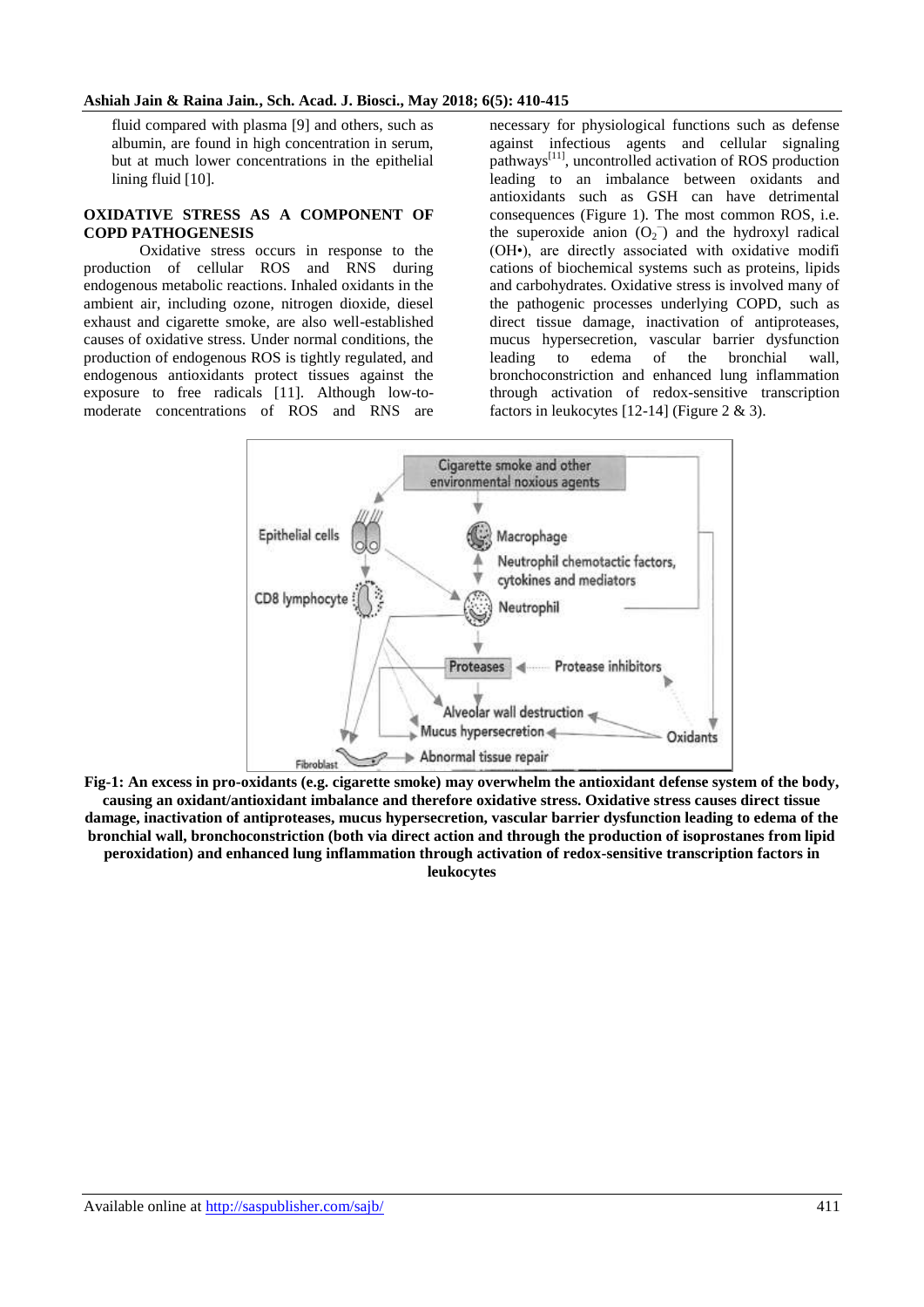#### **Ashiah Jain & Raina Jain***.***, Sch. Acad. J. Biosci., May 2018; 6(5): 410-415**

fluid compared with plasma [9] and others, such as albumin, are found in high concentration in serum, but at much lower concentrations in the epithelial lining fluid [10].

#### **OXIDATIVE STRESS AS A COMPONENT OF COPD PATHOGENESIS**

Oxidative stress occurs in response to the production of cellular ROS and RNS during endogenous metabolic reactions. Inhaled oxidants in the ambient air, including ozone, nitrogen dioxide, diesel exhaust and cigarette smoke, are also well-established causes of oxidative stress. Under normal conditions, the production of endogenous ROS is tightly regulated, and endogenous antioxidants protect tissues against the exposure to free radicals [11]. Although low-tomoderate concentrations of ROS and RNS are

necessary for physiological functions such as defense against infectious agents and cellular signaling pathways[11], uncontrolled activation of ROS production leading to an imbalance between oxidants and antioxidants such as GSH can have detrimental consequences (Figure 1). The most common ROS, i.e. the superoxide anion  $(O_2^-)$  and the hydroxyl radical (OH•), are directly associated with oxidative modifi cations of biochemical systems such as proteins, lipids and carbohydrates. Oxidative stress is involved many of the pathogenic processes underlying COPD, such as direct tissue damage, inactivation of antiproteases, mucus hypersecretion, vascular barrier dysfunction leading to edema of the bronchial wall, bronchoconstriction and enhanced lung inflammation through activation of redox-sensitive transcription factors in leukocytes  $[12-14]$  (Figure 2 & 3).



**Fig-1: An excess in pro-oxidants (e.g. cigarette smoke) may overwhelm the antioxidant defense system of the body, causing an oxidant/antioxidant imbalance and therefore oxidative stress. Oxidative stress causes direct tissue damage, inactivation of antiproteases, mucus hypersecretion, vascular barrier dysfunction leading to edema of the bronchial wall, bronchoconstriction (both via direct action and through the production of isoprostanes from lipid peroxidation) and enhanced lung inflammation through activation of redox-sensitive transcription factors in leukocytes**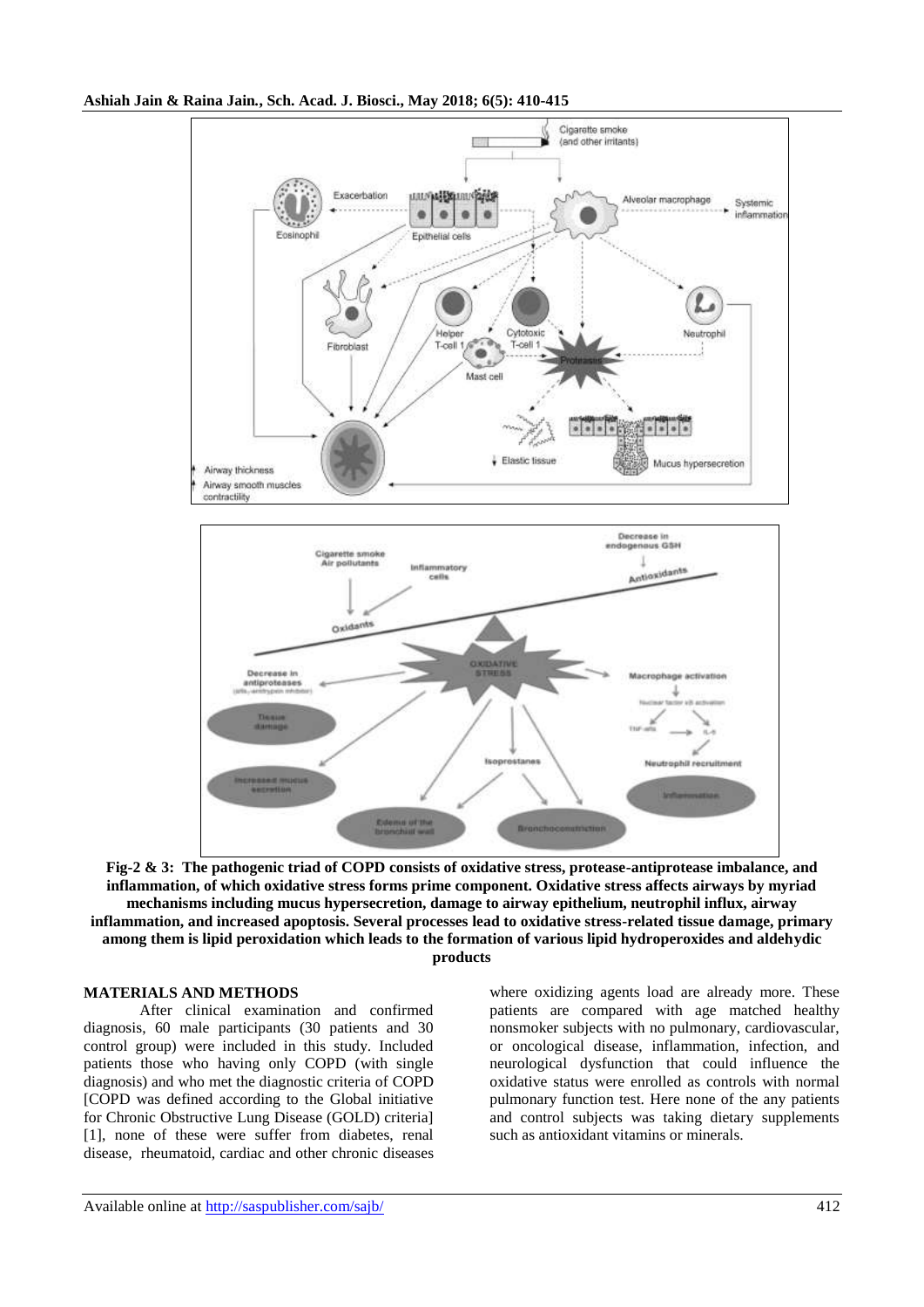#### **Ashiah Jain & Raina Jain***.***, Sch. Acad. J. Biosci., May 2018; 6(5): 410-415**



**Fig-2 & 3: The pathogenic triad of COPD consists of oxidative stress, protease-antiprotease imbalance, and inflammation, of which oxidative stress forms prime component. Oxidative stress affects airways by myriad mechanisms including mucus hypersecretion, damage to airway epithelium, neutrophil influx, airway inflammation, and increased apoptosis. Several processes lead to oxidative stress-related tissue damage, primary among them is lipid peroxidation which leads to the formation of various lipid hydroperoxides and aldehydic products**

### **MATERIALS AND METHODS**

After clinical examination and confirmed diagnosis, 60 male participants (30 patients and 30 control group) were included in this study. Included patients those who having only COPD (with single diagnosis) and who met the diagnostic criteria of COPD [COPD was defined according to the Global initiative for Chronic Obstructive Lung Disease (GOLD) criteria] [1], none of these were suffer from diabetes, renal disease, rheumatoid, cardiac and other chronic diseases

where oxidizing agents load are already more. These patients are compared with age matched healthy nonsmoker subjects with no pulmonary, cardiovascular, or oncological disease, inflammation, infection, and neurological dysfunction that could influence the oxidative status were enrolled as controls with normal pulmonary function test. Here none of the any patients and control subjects was taking dietary supplements such as antioxidant vitamins or minerals.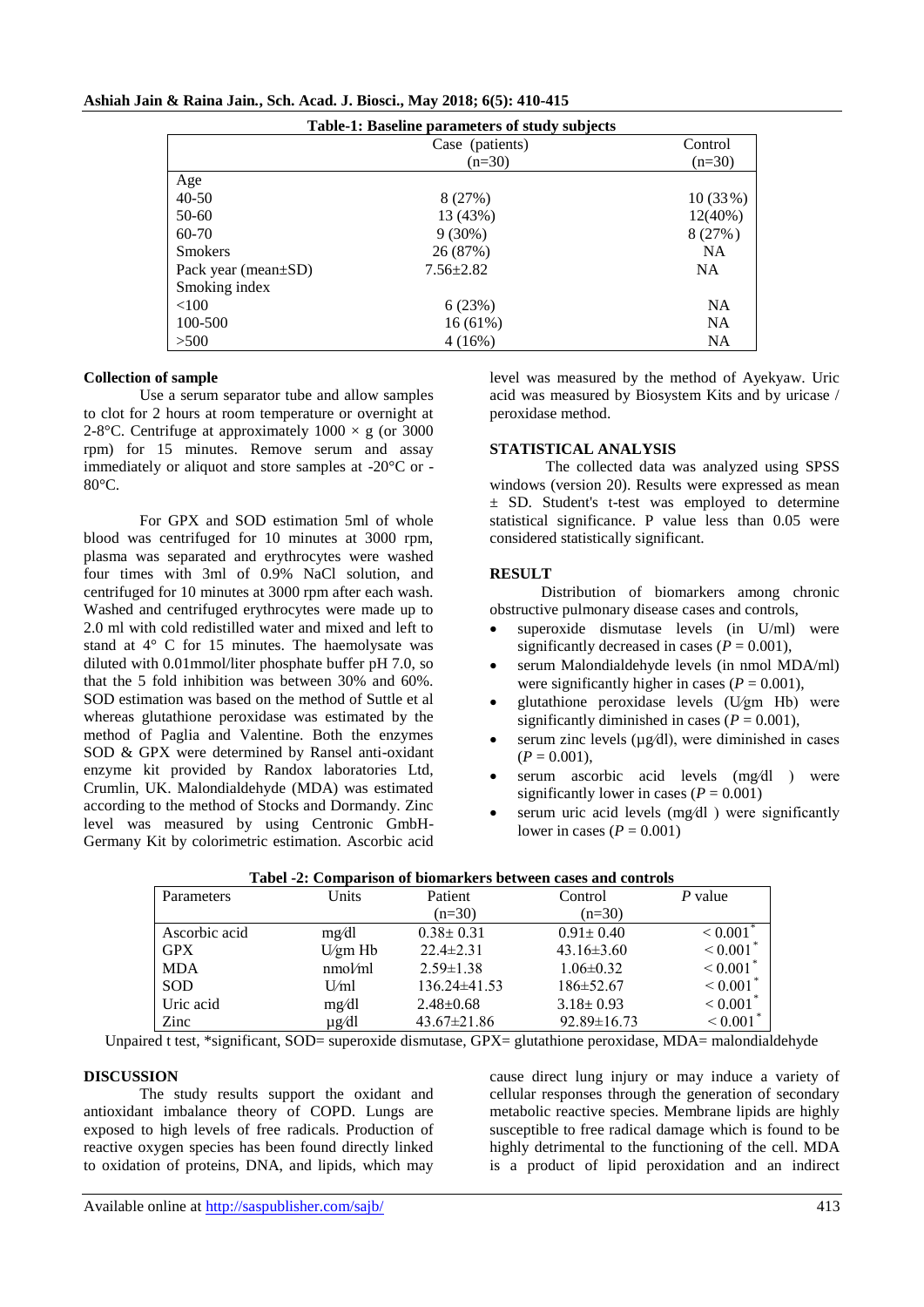|                            | <b>Table-1: Baseline parameters of study subjects</b> |            |
|----------------------------|-------------------------------------------------------|------------|
|                            | Case (patients)                                       | Control    |
|                            | $(n=30)$                                              | $(n=30)$   |
| Age                        |                                                       |            |
| $40 - 50$                  | 8(27%)                                                | 10(33%)    |
| 50-60                      | 13 (43%)                                              | $12(40\%)$ |
| 60-70                      | $9(30\%)$                                             | 8(27%)     |
| <b>Smokers</b>             | 26 (87%)                                              | <b>NA</b>  |
| Pack year (mean $\pm SD$ ) | $7.56 \pm 2.82$                                       | NA.        |
| Smoking index              |                                                       |            |
| <100                       | 6(23%)                                                | <b>NA</b>  |
| 100-500                    | 16(61%)                                               | <b>NA</b>  |
| >500                       | 4(16%)                                                | NA         |

#### **Ashiah Jain & Raina Jain***.***, Sch. Acad. J. Biosci., May 2018; 6(5): 410-415**

#### **Collection of sample**

Use a serum separator tube and allow samples to clot for 2 hours at room temperature or overnight at 2-8°C. Centrifuge at approximately  $1000 \times g$  (or 3000 rpm) for 15 minutes. Remove serum and assay immediately or aliquot and store samples at -20°C or - 80°C.

For GPX and SOD estimation 5ml of whole blood was centrifuged for 10 minutes at 3000 rpm, plasma was separated and erythrocytes were washed four times with 3ml of 0.9% NaCl solution, and centrifuged for 10 minutes at 3000 rpm after each wash. Washed and centrifuged erythrocytes were made up to 2.0 ml with cold redistilled water and mixed and left to stand at 4° C for 15 minutes. The haemolysate was diluted with 0.01mmol/liter phosphate buffer pH 7.0, so that the 5 fold inhibition was between 30% and 60%. SOD estimation was based on the method of Suttle et al whereas glutathione peroxidase was estimated by the method of Paglia and Valentine. Both the enzymes SOD & GPX were determined by Ransel anti-oxidant enzyme kit provided by Randox laboratories Ltd, Crumlin, UK. Malondialdehyde (MDA) was estimated according to the method of Stocks and Dormandy. Zinc level was measured by using Centronic GmbH-Germany Kit by colorimetric estimation. Ascorbic acid level was measured by the method of Ayekyaw. Uric acid was measured by Biosystem Kits and by uricase / peroxidase method.

#### **STATISTICAL ANALYSIS**

The collected data was analyzed using SPSS windows (version 20). Results were expressed as mean ± SD. Student's t-test was employed to determine statistical significance. P value less than 0.05 were considered statistically significant.

#### **RESULT**

 Distribution of biomarkers among chronic obstructive pulmonary disease cases and controls,

- superoxide dismutase levels (in U/ml) were significantly decreased in cases  $(P = 0.001)$ ,
- serum Malondialdehyde levels (in nmol MDA/ml) were significantly higher in cases  $(P = 0.001)$ ,
- glutathione peroxidase levels (U⁄gm Hb) were significantly diminished in cases  $(P = 0.001)$ ,
- serum zinc levels (µg⁄dl), were diminished in cases  $(P = 0.001)$ ,
- serum ascorbic acid levels (mg⁄dl ) were significantly lower in cases  $(P = 0.001)$
- serum uric acid levels (mg⁄dl ) were significantly lower in cases (*P* = 0.001)

| Parameters    | Units   | Patient           | Control           | P value                |
|---------------|---------|-------------------|-------------------|------------------------|
|               |         | $(n=30)$          | $(n=30)$          |                        |
| Ascorbic acid | mg/dl   | $0.38 \pm 0.31$   | $0.91 \pm 0.40$   | < 0.001                |
| <b>GPX</b>    | U/gm Hb | $22.4 \pm 2.31$   | $43.16 \pm 3.60$  | $< 0.001$ <sup>*</sup> |
| <b>MDA</b>    | nmol/ml | $2.59 \pm 1.38$   | $1.06 \pm 0.32$   | $< 0.001$ <sup>*</sup> |
| <b>SOD</b>    | U/ml    | $136.24\pm41.53$  | $186 \pm 52.67$   | ${}_{0.001}$           |
| Uric acid     | mg/dl   | $2.48 \pm 0.68$   | $3.18 \pm 0.93$   | < 0.001                |
| Zinc          | µg⁄dl   | $43.67 \pm 21.86$ | $92.89 \pm 16.73$ | < 0.001                |

#### **Tabel -2: Comparison of biomarkers between cases and controls**

Unpaired t test, \*significant, SOD= superoxide dismutase, GPX= glutathione peroxidase, MDA= malondialdehyde

#### **DISCUSSION**

The study results support the oxidant and antioxidant imbalance theory of COPD. Lungs are exposed to high levels of free radicals. Production of reactive oxygen species has been found directly linked to oxidation of proteins, DNA, and lipids, which may

cause direct lung injury or may induce a variety of cellular responses through the generation of secondary metabolic reactive species. Membrane lipids are highly susceptible to free radical damage which is found to be highly detrimental to the functioning of the cell. MDA is a product of lipid peroxidation and an indirect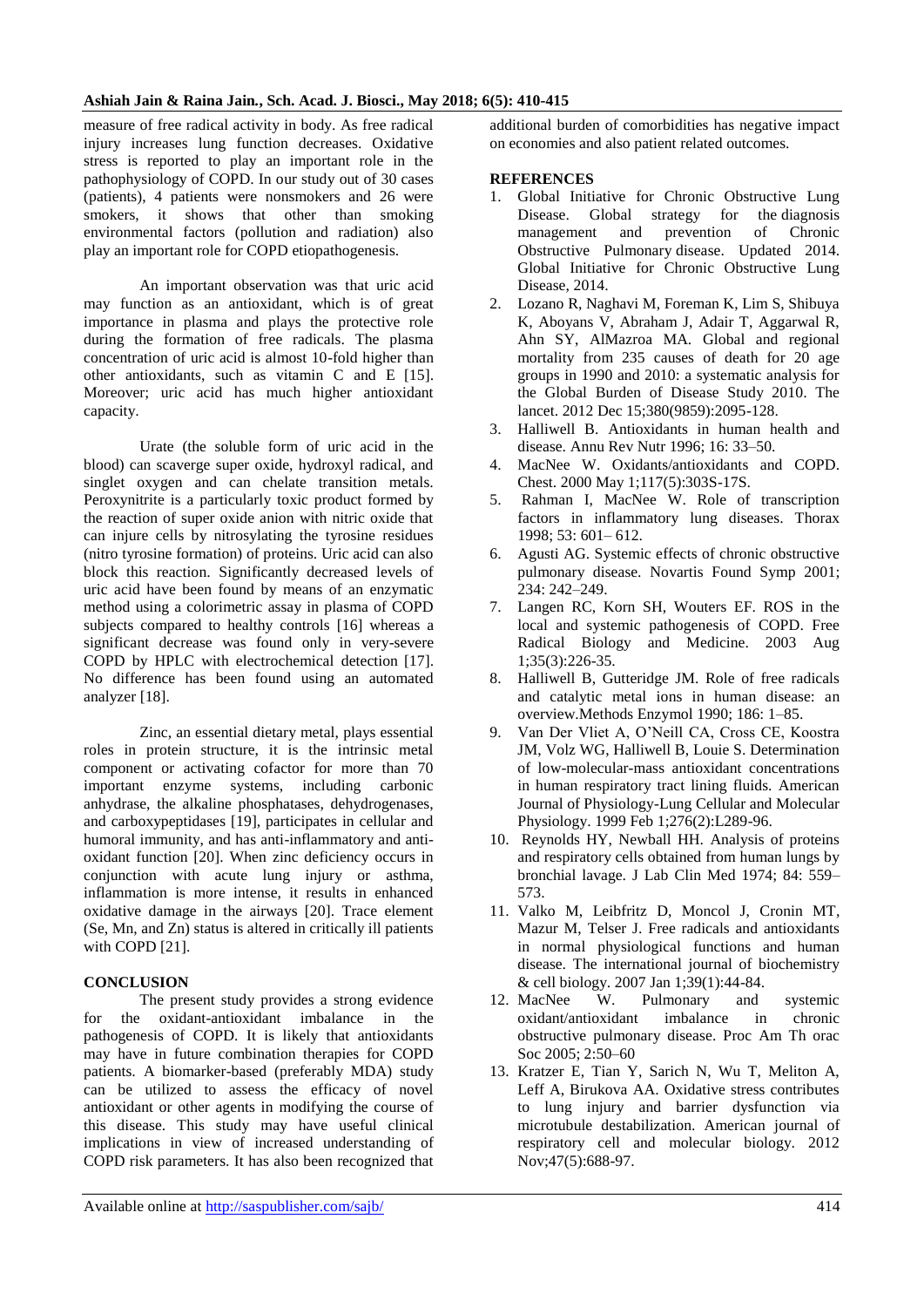measure of free radical activity in body. As free radical injury increases lung function decreases. Oxidative stress is reported to play an important role in the pathophysiology of COPD. In our study out of 30 cases (patients), 4 patients were nonsmokers and 26 were smokers, it shows that other than smoking environmental factors (pollution and radiation) also play an important role for COPD etiopathogenesis.

An important observation was that uric acid may function as an antioxidant, which is of great importance in plasma and plays the protective role during the formation of free radicals. The plasma concentration of uric acid is almost 10-fold higher than other antioxidants, such as vitamin C and E [15]. Moreover; uric acid has much higher antioxidant capacity.

Urate (the soluble form of uric acid in the blood) can scaverge super oxide, hydroxyl radical, and singlet oxygen and can chelate transition metals. Peroxynitrite is a particularly toxic product formed by the reaction of super oxide anion with nitric oxide that can injure cells by nitrosylating the tyrosine residues (nitro tyrosine formation) of proteins. Uric acid can also block this reaction. Significantly decreased levels of uric acid have been found by means of an enzymatic method using a colorimetric assay in plasma of COPD subjects compared to healthy controls [16] whereas a significant decrease was found only in very-severe COPD by HPLC with electrochemical detection [17]. No difference has been found using an automated analyzer [18].

Zinc, an essential dietary metal, plays essential roles in protein structure, it is the intrinsic metal component or activating cofactor for more than 70 important enzyme systems, including carbonic anhydrase, the alkaline phosphatases, dehydrogenases, and carboxypeptidases [19], participates in cellular and humoral immunity, and has anti-inflammatory and antioxidant function [20]. When zinc deficiency occurs in conjunction with acute lung injury or asthma, inflammation is more intense, it results in enhanced oxidative damage in the airways [20]. Trace element (Se, Mn, and Zn) status is altered in critically ill patients with COPD [21].

## **CONCLUSION**

The present study provides a strong evidence for the oxidant-antioxidant imbalance in the pathogenesis of COPD. It is likely that antioxidants may have in future combination therapies for COPD patients. A biomarker-based (preferably MDA) study can be utilized to assess the efficacy of novel antioxidant or other agents in modifying the course of this disease. This study may have useful clinical implications in view of increased understanding of COPD risk parameters. It has also been recognized that

additional burden of comorbidities has negative impact on economies and also patient related outcomes.

#### **REFERENCES**

- 1. Global Initiative for Chronic Obstructive Lung Disease. Global strategy for the diagnosis management and prevention of Chronic Obstructive Pulmonary disease. Updated 2014. Global Initiative for Chronic Obstructive Lung Disease, 2014.
- 2. Lozano R, Naghavi M, Foreman K, Lim S, Shibuya K, Aboyans V, Abraham J, Adair T, Aggarwal R, Ahn SY, AlMazroa MA. Global and regional mortality from 235 causes of death for 20 age groups in 1990 and 2010: a systematic analysis for the Global Burden of Disease Study 2010. The lancet. 2012 Dec 15;380(9859):2095-128.
- 3. Halliwell B. Antioxidants in human health and disease. Annu Rev Nutr 1996; 16: 33–50.
- 4. MacNee W. Oxidants/antioxidants and COPD. Chest. 2000 May 1;117(5):303S-17S.
- 5. Rahman I, MacNee W. Role of transcription factors in inflammatory lung diseases. Thorax 1998; 53: 601– 612.
- 6. Agusti AG. Systemic effects of chronic obstructive pulmonary disease. Novartis Found Symp 2001; 234: 242–249.
- 7. Langen RC, Korn SH, Wouters EF. ROS in the local and systemic pathogenesis of COPD. Free Radical Biology and Medicine. 2003 Aug 1;35(3):226-35.
- 8. Halliwell B, Gutteridge JM. Role of free radicals and catalytic metal ions in human disease: an overview.Methods Enzymol 1990; 186: 1–85.
- 9. Van Der Vliet A, O'Neill CA, Cross CE, Koostra JM, Volz WG, Halliwell B, Louie S. Determination of low-molecular-mass antioxidant concentrations in human respiratory tract lining fluids. American Journal of Physiology-Lung Cellular and Molecular Physiology. 1999 Feb 1;276(2):L289-96.
- 10. Reynolds HY, Newball HH. Analysis of proteins and respiratory cells obtained from human lungs by bronchial lavage. J Lab Clin Med 1974; 84: 559– 573.
- 11. Valko M, Leibfritz D, Moncol J, Cronin MT, Mazur M, Telser J. Free radicals and antioxidants in normal physiological functions and human disease. The international journal of biochemistry & cell biology. 2007 Jan 1;39(1):44-84.
- 12. MacNee W. Pulmonary and systemic oxidant/antioxidant imbalance in chronic obstructive pulmonary disease. Proc Am Th orac Soc 2005; 2:50–60
- 13. Kratzer E, Tian Y, Sarich N, Wu T, Meliton A, Leff A, Birukova AA. Oxidative stress contributes to lung injury and barrier dysfunction via microtubule destabilization. American journal of respiratory cell and molecular biology. 2012 Nov;47(5):688-97.